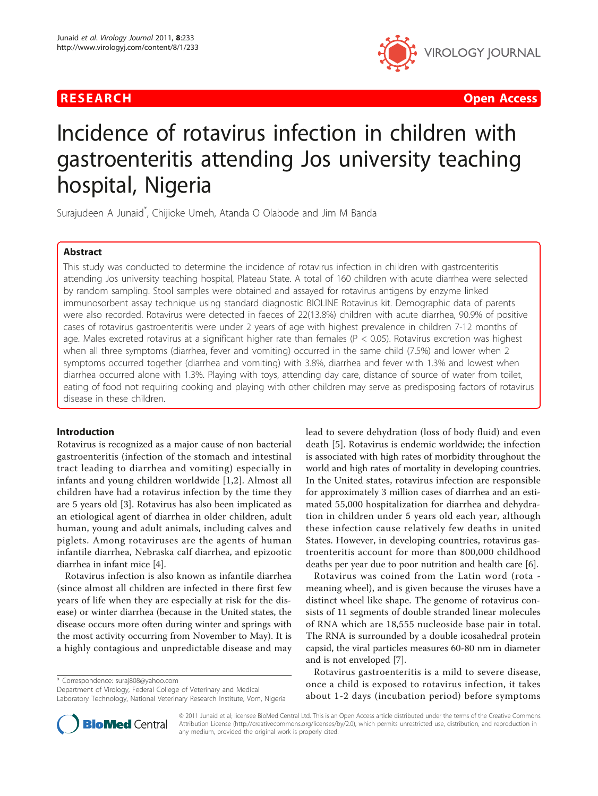

**RESEARCH Open Access** 

# Incidence of rotavirus infection in children with gastroenteritis attending Jos university teaching hospital, Nigeria

Surajudeen A Junaid\* , Chijioke Umeh, Atanda O Olabode and Jim M Banda

# Abstract

This study was conducted to determine the incidence of rotavirus infection in children with gastroenteritis attending Jos university teaching hospital, Plateau State. A total of 160 children with acute diarrhea were selected by random sampling. Stool samples were obtained and assayed for rotavirus antigens by enzyme linked immunosorbent assay technique using standard diagnostic BIOLINE Rotavirus kit. Demographic data of parents were also recorded. Rotavirus were detected in faeces of 22(13.8%) children with acute diarrhea, 90.9% of positive cases of rotavirus gastroenteritis were under 2 years of age with highest prevalence in children 7-12 months of age. Males excreted rotavirus at a significant higher rate than females ( $P < 0.05$ ). Rotavirus excretion was highest when all three symptoms (diarrhea, fever and vomiting) occurred in the same child (7.5%) and lower when 2 symptoms occurred together (diarrhea and vomiting) with 3.8%, diarrhea and fever with 1.3% and lowest when diarrhea occurred alone with 1.3%. Playing with toys, attending day care, distance of source of water from toilet, eating of food not requiring cooking and playing with other children may serve as predisposing factors of rotavirus disease in these children.

# Introduction

Rotavirus is recognized as a major cause of non bacterial gastroenteritis (infection of the stomach and intestinal tract leading to diarrhea and vomiting) especially in infants and young children worldwide [\[1](#page-6-0),[2\]](#page-6-0). Almost all children have had a rotavirus infection by the time they are 5 years old [[3](#page-6-0)]. Rotavirus has also been implicated as an etiological agent of diarrhea in older children, adult human, young and adult animals, including calves and piglets. Among rotaviruses are the agents of human infantile diarrhea, Nebraska calf diarrhea, and epizootic diarrhea in infant mice [\[4](#page-6-0)].

Rotavirus infection is also known as infantile diarrhea (since almost all children are infected in there first few years of life when they are especially at risk for the disease) or winter diarrhea (because in the United states, the disease occurs more often during winter and springs with the most activity occurring from November to May). It is a highly contagious and unpredictable disease and may

\* Correspondence: [suraj808@yahoo.com](mailto:suraj808@yahoo.com)

Department of Virology, Federal College of Veterinary and Medical Laboratory Technology, National Veterinary Research Institute, Vom, Nigeria lead to severe dehydration (loss of body fluid) and even death [[5\]](#page-6-0). Rotavirus is endemic worldwide; the infection is associated with high rates of morbidity throughout the world and high rates of mortality in developing countries. In the United states, rotavirus infection are responsible for approximately 3 million cases of diarrhea and an estimated 55,000 hospitalization for diarrhea and dehydration in children under 5 years old each year, although these infection cause relatively few deaths in united States. However, in developing countries, rotavirus gastroenteritis account for more than 800,000 childhood deaths per year due to poor nutrition and health care [\[6](#page-6-0)].

Rotavirus was coined from the Latin word (rota meaning wheel), and is given because the viruses have a distinct wheel like shape. The genome of rotavirus consists of 11 segments of double stranded linear molecules of RNA which are 18,555 nucleoside base pair in total. The RNA is surrounded by a double icosahedral protein capsid, the viral particles measures 60-80 nm in diameter and is not enveloped [[7\]](#page-6-0).

Rotavirus gastroenteritis is a mild to severe disease, once a child is exposed to rotavirus infection, it takes about 1-2 days (incubation period) before symptoms



© 2011 Junaid et al; licensee BioMed Central Ltd. This is an Open Access article distributed under the terms of the Creative Commons Attribution License [\(http://creativecommons.org/licenses/by/2.0](http://creativecommons.org/licenses/by/2.0)), which permits unrestricted use, distribution, and reproduction in any medium, provided the original work is properly cited.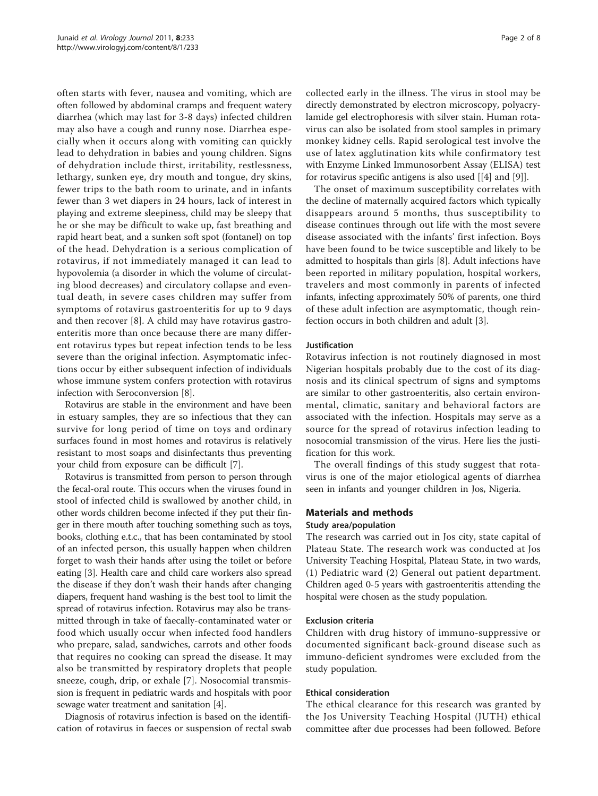often starts with fever, nausea and vomiting, which are often followed by abdominal cramps and frequent watery diarrhea (which may last for 3-8 days) infected children may also have a cough and runny nose. Diarrhea especially when it occurs along with vomiting can quickly lead to dehydration in babies and young children. Signs of dehydration include thirst, irritability, restlessness, lethargy, sunken eye, dry mouth and tongue, dry skins, fewer trips to the bath room to urinate, and in infants fewer than 3 wet diapers in 24 hours, lack of interest in playing and extreme sleepiness, child may be sleepy that he or she may be difficult to wake up, fast breathing and rapid heart beat, and a sunken soft spot (fontanel) on top of the head. Dehydration is a serious complication of rotavirus, if not immediately managed it can lead to hypovolemia (a disorder in which the volume of circulating blood decreases) and circulatory collapse and eventual death, in severe cases children may suffer from symptoms of rotavirus gastroenteritis for up to 9 days and then recover [\[8](#page-6-0)]. A child may have rotavirus gastroenteritis more than once because there are many different rotavirus types but repeat infection tends to be less severe than the original infection. Asymptomatic infections occur by either subsequent infection of individuals whose immune system confers protection with rotavirus infection with Seroconversion [[8\]](#page-6-0).

Rotavirus are stable in the environment and have been in estuary samples, they are so infectious that they can survive for long period of time on toys and ordinary surfaces found in most homes and rotavirus is relatively resistant to most soaps and disinfectants thus preventing your child from exposure can be difficult [\[7\]](#page-6-0).

Rotavirus is transmitted from person to person through the fecal-oral route. This occurs when the viruses found in stool of infected child is swallowed by another child, in other words children become infected if they put their finger in there mouth after touching something such as toys, books, clothing e.t.c., that has been contaminated by stool of an infected person, this usually happen when children forget to wash their hands after using the toilet or before eating [\[3](#page-6-0)]. Health care and child care workers also spread the disease if they don't wash their hands after changing diapers, frequent hand washing is the best tool to limit the spread of rotavirus infection. Rotavirus may also be transmitted through in take of faecally-contaminated water or food which usually occur when infected food handlers who prepare, salad, sandwiches, carrots and other foods that requires no cooking can spread the disease. It may also be transmitted by respiratory droplets that people sneeze, cough, drip, or exhale [[7\]](#page-6-0). Nosocomial transmission is frequent in pediatric wards and hospitals with poor sewage water treatment and sanitation [\[4](#page-6-0)].

Diagnosis of rotavirus infection is based on the identification of rotavirus in faeces or suspension of rectal swab collected early in the illness. The virus in stool may be directly demonstrated by electron microscopy, polyacrylamide gel electrophoresis with silver stain. Human rotavirus can also be isolated from stool samples in primary monkey kidney cells. Rapid serological test involve the use of latex agglutination kits while confirmatory test with Enzyme Linked Immunosorbent Assay (ELISA) test for rotavirus specific antigens is also used [[\[4\]](#page-6-0) and [[9\]](#page-6-0)].

The onset of maximum susceptibility correlates with the decline of maternally acquired factors which typically disappears around 5 months, thus susceptibility to disease continues through out life with the most severe disease associated with the infants' first infection. Boys have been found to be twice susceptible and likely to be admitted to hospitals than girls [\[8](#page-6-0)]. Adult infections have been reported in military population, hospital workers, travelers and most commonly in parents of infected infants, infecting approximately 50% of parents, one third of these adult infection are asymptomatic, though reinfection occurs in both children and adult [[3\]](#page-6-0).

# Justification

Rotavirus infection is not routinely diagnosed in most Nigerian hospitals probably due to the cost of its diagnosis and its clinical spectrum of signs and symptoms are similar to other gastroenteritis, also certain environmental, climatic, sanitary and behavioral factors are associated with the infection. Hospitals may serve as a source for the spread of rotavirus infection leading to nosocomial transmission of the virus. Here lies the justification for this work.

The overall findings of this study suggest that rotavirus is one of the major etiological agents of diarrhea seen in infants and younger children in Jos, Nigeria.

# Materials and methods

# Study area/population

The research was carried out in Jos city, state capital of Plateau State. The research work was conducted at Jos University Teaching Hospital, Plateau State, in two wards, (1) Pediatric ward (2) General out patient department. Children aged 0-5 years with gastroenteritis attending the hospital were chosen as the study population.

# Exclusion criteria

Children with drug history of immuno-suppressive or documented significant back-ground disease such as immuno-deficient syndromes were excluded from the study population.

# Ethical consideration

The ethical clearance for this research was granted by the Jos University Teaching Hospital (JUTH) ethical committee after due processes had been followed. Before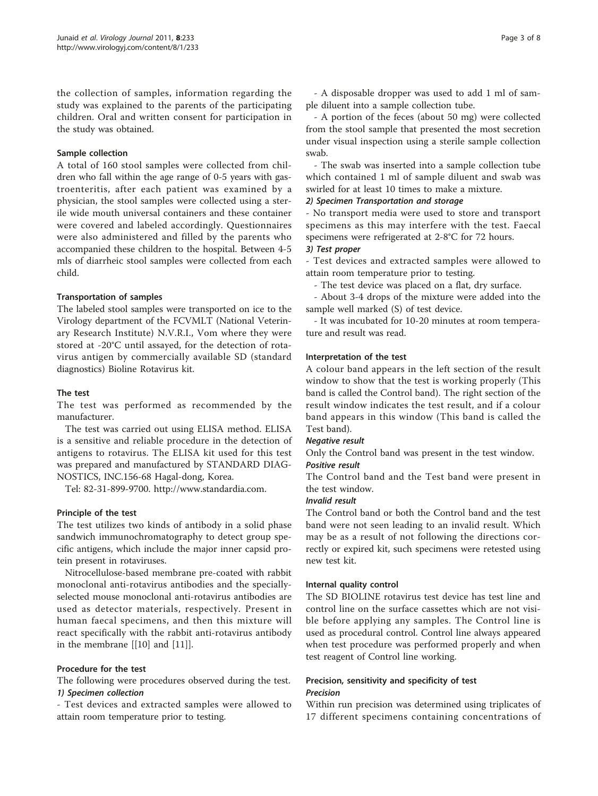the collection of samples, information regarding the study was explained to the parents of the participating children. Oral and written consent for participation in the study was obtained.

# Sample collection

A total of 160 stool samples were collected from children who fall within the age range of 0-5 years with gastroenteritis, after each patient was examined by a physician, the stool samples were collected using a sterile wide mouth universal containers and these container were covered and labeled accordingly. Questionnaires were also administered and filled by the parents who accompanied these children to the hospital. Between 4-5 mls of diarrheic stool samples were collected from each child.

# Transportation of samples

The labeled stool samples were transported on ice to the Virology department of the FCVMLT (National Veterinary Research Institute) N.V.R.I., Vom where they were stored at -20°C until assayed, for the detection of rotavirus antigen by commercially available SD (standard diagnostics) Bioline Rotavirus kit.

# The test

The test was performed as recommended by the manufacturer.

The test was carried out using ELISA method. ELISA is a sensitive and reliable procedure in the detection of antigens to rotavirus. The ELISA kit used for this test was prepared and manufactured by STANDARD DIAG-NOSTICS, INC.156-68 Hagal-dong, Korea.

Tel: 82-31-899-9700. [http://www.standardia.com.](http://www.standardia.com)

# Principle of the test

The test utilizes two kinds of antibody in a solid phase sandwich immunochromatography to detect group specific antigens, which include the major inner capsid protein present in rotaviruses.

Nitrocellulose-based membrane pre-coated with rabbit monoclonal anti-rotavirus antibodies and the speciallyselected mouse monoclonal anti-rotavirus antibodies are used as detector materials, respectively. Present in human faecal specimens, and then this mixture will react specifically with the rabbit anti-rotavirus antibody in the membrane [[\[10\]](#page-6-0) and [[11](#page-6-0)]].

# Procedure for the test

The following were procedures observed during the test. 1) Specimen collection

- Test devices and extracted samples were allowed to attain room temperature prior to testing.

- A disposable dropper was used to add 1 ml of sample diluent into a sample collection tube.

- A portion of the feces (about 50 mg) were collected from the stool sample that presented the most secretion under visual inspection using a sterile sample collection swab.

- The swab was inserted into a sample collection tube which contained 1 ml of sample diluent and swab was swirled for at least 10 times to make a mixture.

# 2) Specimen Transportation and storage

- No transport media were used to store and transport specimens as this may interfere with the test. Faecal specimens were refrigerated at 2-8°C for 72 hours.

# 3) Test proper

- Test devices and extracted samples were allowed to attain room temperature prior to testing.

- The test device was placed on a flat, dry surface.

- About 3-4 drops of the mixture were added into the sample well marked (S) of test device.

- It was incubated for 10-20 minutes at room temperature and result was read.

# Interpretation of the test

A colour band appears in the left section of the result window to show that the test is working properly (This band is called the Control band). The right section of the result window indicates the test result, and if a colour band appears in this window (This band is called the Test band).

# Negative result

Only the Control band was present in the test window. Positive result

The Control band and the Test band were present in the test window.

# Invalid result

The Control band or both the Control band and the test band were not seen leading to an invalid result. Which may be as a result of not following the directions correctly or expired kit, such specimens were retested using new test kit.

# Internal quality control

The SD BIOLINE rotavirus test device has test line and control line on the surface cassettes which are not visible before applying any samples. The Control line is used as procedural control. Control line always appeared when test procedure was performed properly and when test reagent of Control line working.

# Precision, sensitivity and specificity of test Precision

Within run precision was determined using triplicates of 17 different specimens containing concentrations of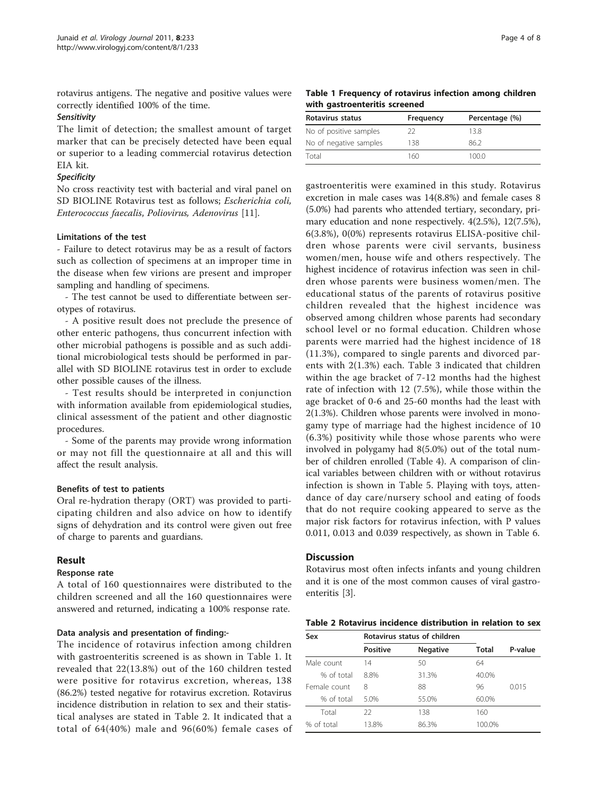rotavirus antigens. The negative and positive values were correctly identified 100% of the time.

# Sensitivity

The limit of detection; the smallest amount of target marker that can be precisely detected have been equal or superior to a leading commercial rotavirus detection EIA kit.

# Specificity

No cross reactivity test with bacterial and viral panel on SD BIOLINE Rotavirus test as follows; Escherichia coli, Enterococcus faecalis, Poliovirus, Adenovirus [[11](#page-6-0)].

# Limitations of the test

- Failure to detect rotavirus may be as a result of factors such as collection of specimens at an improper time in the disease when few virions are present and improper sampling and handling of specimens.

- The test cannot be used to differentiate between serotypes of rotavirus.

- A positive result does not preclude the presence of other enteric pathogens, thus concurrent infection with other microbial pathogens is possible and as such additional microbiological tests should be performed in parallel with SD BIOLINE rotavirus test in order to exclude other possible causes of the illness.

- Test results should be interpreted in conjunction with information available from epidemiological studies, clinical assessment of the patient and other diagnostic procedures.

- Some of the parents may provide wrong information or may not fill the questionnaire at all and this will affect the result analysis.

# Benefits of test to patients

Oral re-hydration therapy (ORT) was provided to participating children and also advice on how to identify signs of dehydration and its control were given out free of charge to parents and guardians.

# Result

# Response rate

A total of 160 questionnaires were distributed to the children screened and all the 160 questionnaires were answered and returned, indicating a 100% response rate.

# Data analysis and presentation of finding:-

The incidence of rotavirus infection among children with gastroenteritis screened is as shown in Table 1. It revealed that 22(13.8%) out of the 160 children tested were positive for rotavirus excretion, whereas, 138 (86.2%) tested negative for rotavirus excretion. Rotavirus incidence distribution in relation to sex and their statistical analyses are stated in Table 2. It indicated that a total of 64(40%) male and 96(60%) female cases of

Table 1 Frequency of rotavirus infection among children with gastroenteritis screened

| Rotavirus status       | Frequency | Percentage (%) |
|------------------------|-----------|----------------|
| No of positive samples | 22        | 13.8           |
| No of negative samples | 138       | 862            |
| Total                  | 160       | 100.0          |

gastroenteritis were examined in this study. Rotavirus excretion in male cases was 14(8.8%) and female cases 8 (5.0%) had parents who attended tertiary, secondary, primary education and none respectively. 4(2.5%), 12(7.5%), 6(3.8%), 0(0%) represents rotavirus ELISA-positive children whose parents were civil servants, business women/men, house wife and others respectively. The highest incidence of rotavirus infection was seen in children whose parents were business women/men. The educational status of the parents of rotavirus positive children revealed that the highest incidence was observed among children whose parents had secondary school level or no formal education. Children whose parents were married had the highest incidence of 18 (11.3%), compared to single parents and divorced parents with 2(1.3%) each. Table [3](#page-4-0) indicated that children within the age bracket of 7-12 months had the highest rate of infection with 12 (7.5%), while those within the age bracket of 0-6 and 25-60 months had the least with 2(1.3%). Children whose parents were involved in monogamy type of marriage had the highest incidence of 10 (6.3%) positivity while those whose parents who were involved in polygamy had 8(5.0%) out of the total number of children enrolled (Table [4](#page-4-0)). A comparison of clinical variables between children with or without rotavirus infection is shown in Table [5.](#page-5-0) Playing with toys, attendance of day care/nursery school and eating of foods that do not require cooking appeared to serve as the major risk factors for rotavirus infection, with P values 0.011, 0.013 and 0.039 respectively, as shown in Table [6.](#page-5-0)

# **Discussion**

Rotavirus most often infects infants and young children and it is one of the most common causes of viral gastroenteritis [\[3\]](#page-6-0).

| Table 2 Rotavirus incidence distribution in relation to sex |
|-------------------------------------------------------------|
|-------------------------------------------------------------|

| Sex          |                 | Rotavirus status of children |              |         |
|--------------|-----------------|------------------------------|--------------|---------|
|              | <b>Positive</b> | <b>Negative</b>              | <b>Total</b> | P-value |
| Male count   | 14              | 50                           | 64           |         |
| % of total   | 8.8%            | 31.3%                        | 40.0%        |         |
| Female count | 8               | 88                           | 96           | 0.015   |
| % of total   | 5.0%            | 55.0%                        | 60.0%        |         |
| Total        | 22              | 138                          | 160          |         |
| % of total   | 13.8%           | 86.3%                        | 100.0%       |         |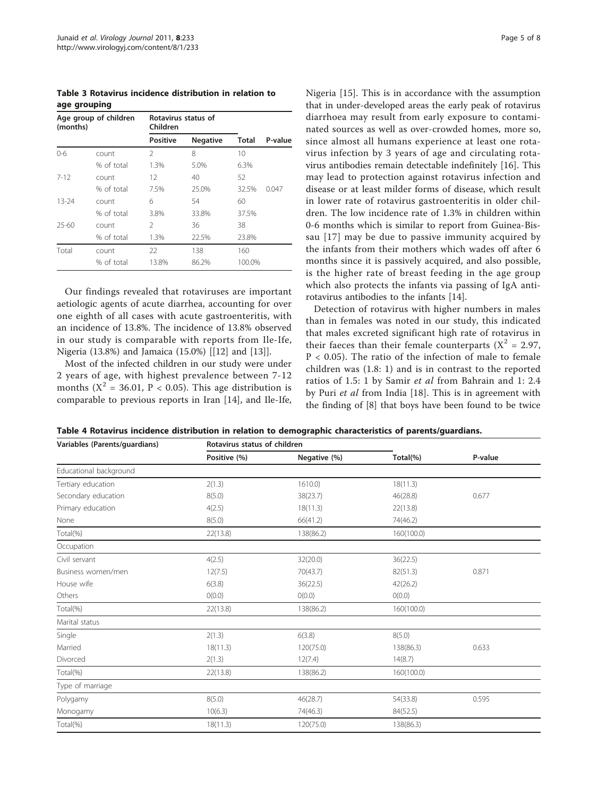<span id="page-4-0"></span>Table 3 Rotavirus incidence distribution in relation to age grouping

| Age group of children<br>(months) |            | Rotavirus status of<br>Children |                 |        |         |
|-----------------------------------|------------|---------------------------------|-----------------|--------|---------|
|                                   |            | <b>Positive</b>                 | <b>Negative</b> | Total  | P-value |
| $0 - 6$                           | count      | $\mathfrak{D}$                  | 8               | 10     |         |
|                                   | % of total | 1.3%                            | 5.0%            | 6.3%   |         |
| $7 - 12$                          | count      | 12                              | 40              | 52     |         |
|                                   | % of total | 7.5%                            | 25.0%           | 32.5%  | 0.047   |
| $13 - 24$                         | count      | 6                               | 54              | 60     |         |
|                                   | % of total | 3.8%                            | 33.8%           | 37.5%  |         |
| $25 - 60$                         | count      | $\mathcal{P}$                   | 36              | 38     |         |
|                                   | % of total | 1.3%                            | 22.5%           | 23.8%  |         |
| Total                             | count      | 22                              | 138             | 160    |         |
|                                   | % of total | 13.8%                           | 86.2%           | 100.0% |         |

Our findings revealed that rotaviruses are important aetiologic agents of acute diarrhea, accounting for over one eighth of all cases with acute gastroenteritis, with an incidence of 13.8%. The incidence of 13.8% observed in our study is comparable with reports from Ile-Ife, Nigeria (13.8%) and Jamaica (15.0%) [[[12\]](#page-6-0) and [\[13](#page-6-0)]].

Most of the infected children in our study were under 2 years of age, with highest prevalence between 7-12 months ( $X^2$  = 36.01, P < 0.05). This age distribution is comparable to previous reports in Iran [\[14](#page-7-0)], and Ile-Ife, Nigeria [[15](#page-7-0)]. This is in accordance with the assumption that in under-developed areas the early peak of rotavirus diarrhoea may result from early exposure to contaminated sources as well as over-crowded homes, more so, since almost all humans experience at least one rotavirus infection by 3 years of age and circulating rotavirus antibodies remain detectable indefinitely [[16\]](#page-7-0). This may lead to protection against rotavirus infection and disease or at least milder forms of disease, which result in lower rate of rotavirus gastroenteritis in older children. The low incidence rate of 1.3% in children within 0-6 months which is similar to report from Guinea-Bissau [[17](#page-7-0)] may be due to passive immunity acquired by the infants from their mothers which wades off after 6 months since it is passively acquired, and also possible, is the higher rate of breast feeding in the age group which also protects the infants via passing of IgA antirotavirus antibodies to the infants [\[14\]](#page-7-0).

Detection of rotavirus with higher numbers in males than in females was noted in our study, this indicated that males excreted significant high rate of rotavirus in their faeces than their female counterparts ( $X^2 = 2.97$ , P < 0.05). The ratio of the infection of male to female children was (1.8: 1) and is in contrast to the reported ratios of 1.5: 1 by Samir et al from Bahrain and 1: 2.4 by Puri et al from India [[18\]](#page-7-0). This is in agreement with the finding of [[8\]](#page-6-0) that boys have been found to be twice

| Table 4 Rotavirus incidence distribution in relation to demographic characteristics of parents/guardians. |  |  |
|-----------------------------------------------------------------------------------------------------------|--|--|
|-----------------------------------------------------------------------------------------------------------|--|--|

| Variables (Parents/guardians) | Rotavirus status of children |              |            |         |
|-------------------------------|------------------------------|--------------|------------|---------|
|                               | Positive (%)                 | Negative (%) | Total(%)   | P-value |
| Educational background        |                              |              |            |         |
| Tertiary education            | 2(1.3)                       | 1610.0       | 18(11.3)   |         |
| Secondary education           | 8(5.0)                       | 38(23.7)     | 46(28.8)   | 0.677   |
| Primary education             | 4(2.5)                       | 18(11.3)     | 22(13.8)   |         |
| None                          | 8(5.0)                       | 66(41.2)     | 74(46.2)   |         |
| Total(%)                      | 22(13.8)                     | 138(86.2)    | 160(100.0) |         |
| Occupation                    |                              |              |            |         |
| Civil servant                 | 4(2.5)                       | 32(20.0)     | 36(22.5)   |         |
| Business women/men            | 12(7.5)                      | 70(43.7)     | 82(51.3)   | 0.871   |
| House wife                    | 6(3.8)                       | 36(22.5)     | 42(26.2)   |         |
| Others                        | O(0.0)                       | O(0.0)       | O(0.0)     |         |
| Total(%)                      | 22(13.8)                     | 138(86.2)    | 160(100.0) |         |
| Marital status                |                              |              |            |         |
| Single                        | 2(1.3)                       | 6(3.8)       | 8(5.0)     |         |
| Married                       | 18(11.3)                     | 120(75.0)    | 138(86.3)  | 0.633   |
| Divorced                      | 2(1.3)                       | 12(7.4)      | 14(8.7)    |         |
| Total(%)                      | 22(13.8)                     | 138(86.2)    | 160(100.0) |         |
| Type of marriage              |                              |              |            |         |
| Polygamy                      | 8(5.0)                       | 46(28.7)     | 54(33.8)   | 0.595   |
| Monogamy                      | 10(6.3)                      | 74(46.3)     | 84(52.5)   |         |
| Total(%)                      | 18(11.3)                     | 120(75.0)    | 138(86.3)  |         |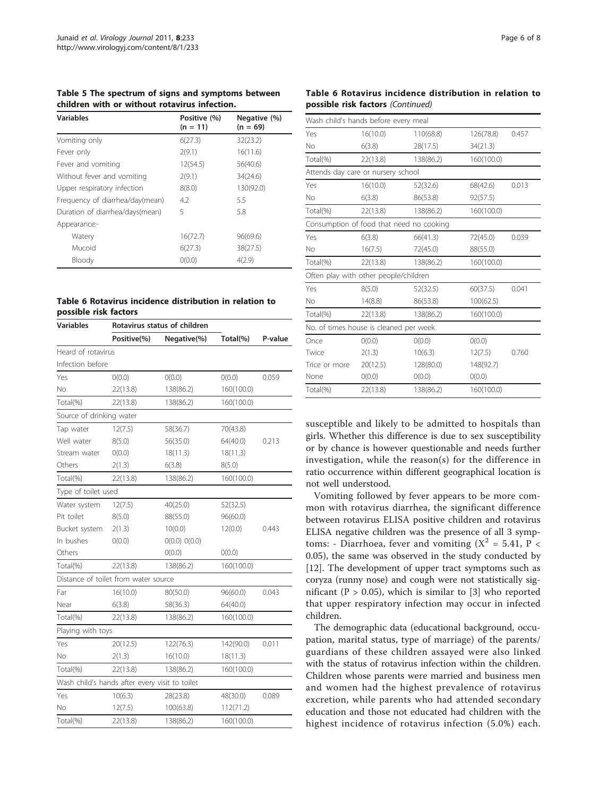<span id="page-5-0"></span>Table 5 The spectrum of signs and symptoms between children with or without rotavirus infection.

| <b>Variables</b>                | Positive (%)<br>$(n = 11)$ | Negative (%)<br>$(n = 69)$ |
|---------------------------------|----------------------------|----------------------------|
| Vomiting only                   | 6(27.3)                    | 32(23.2)                   |
| Fever only                      | 2(9.1)                     | 16(11.6)                   |
| Fever and vomiting              | 12(54.5)                   | 56(40.6)                   |
| Without fever and vomiting      | 2(9.1)                     | 34(24.6)                   |
| Upper respiratory infection     | 8(8.0)                     | 130(92.0)                  |
| Frequency of diarrhea/day(mean) | 4.2                        | 5.5                        |
| Duration of diarrhea/days(mean) | 5                          | 5.8                        |
| Appearance:-                    |                            |                            |
| Watery                          | 16(72.7)                   | 96(69.6)                   |
| Mucoid                          | 6(27.3)                    | 38(27.5)                   |
| Bloody                          | O(0.0)                     | 4(2.9)                     |

# Table 6 Rotavirus incidence distribution in relation to possible risk factors

| <b>Variables</b>         |                                                | Rotavirus status of children |            |         |
|--------------------------|------------------------------------------------|------------------------------|------------|---------|
|                          | Positive(%)                                    | Negative(%)                  | Total(%)   | P-value |
| Heard of rotavirus       |                                                |                              |            |         |
| Infection before         |                                                |                              |            |         |
| Yes                      | O(0.0)                                         | O(0.0)                       | O(0.0)     | 0.059   |
| No                       | 22(13.8)                                       | 138(86.2)                    | 160(100.0) |         |
| Total(%)                 | 22(13.8)                                       | 138(86.2)                    | 160(100.0) |         |
| Source of drinking water |                                                |                              |            |         |
| Tap water                | 12(7.5)                                        | 58(36.7)                     | 70(43.8)   |         |
| Well water               | 8(5.0)                                         | 56(35.0)                     | 64(40.0)   | 0.213   |
| Stream water             | O(0.0)                                         | 18(11.3)                     | 18(11.3)   |         |
| Others                   | 2(1.3)                                         | 6(3.8)                       | 8(5.0)     |         |
| Total(%)                 | 22(13.8)                                       | 138(86.2)                    | 160(100.0) |         |
| Type of toilet used      |                                                |                              |            |         |
| Water system             | 12(7.5)                                        | 40(25.0)                     | 52(32.5)   |         |
| Pit toilet               | 8(5.0)                                         | 88(55.0)                     | 96(60.0)   |         |
| Bucket system            | 2(1.3)                                         | 10(0.0)                      | 12(0.0)    | 0.443   |
| In bushes                | O(0.0)                                         | O(0.0) O(0.0)                |            |         |
| Others                   |                                                | O(0.0)                       | O(0.0)     |         |
| Total(%)                 | 22(13.8)                                       | 138(86.2)                    | 160(100.0) |         |
|                          | Distance of toilet from water source           |                              |            |         |
| Far                      | 16(10.0)                                       | 80(50.0)                     | 96(60.0)   | 0.043   |
| Near                     | 6(3.8)                                         | 58(36.3)                     | 64(40.0)   |         |
| Total(%)                 | 22(13.8)                                       | 138(86.2)                    | 160(100.0) |         |
| Playing with toys        |                                                |                              |            |         |
| Yes                      | 20(12.5)                                       | 122(76.3)                    | 142(90.0)  | 0.011   |
| No                       | 2(1.3)                                         | 16(10.0)                     | 18(11.3)   |         |
| Total(%)                 | 22(13.8)                                       | 138(86.2)                    | 160(100.0) |         |
|                          | Wash child's hands after every visit to toilet |                              |            |         |
| Yes                      | 10(6.3)                                        | 28(23.8)                     | 48(30.0)   | 0.089   |
| No                       | 12(7.5)                                        | 100(63.8)                    | 112(71.2)  |         |
| Total(%)                 | 22(13.8)                                       | 138(86.2)                    | 160(100.0) |         |

|                                        | Wash child's hands before every meal     |           |            |       |  |
|----------------------------------------|------------------------------------------|-----------|------------|-------|--|
| Yes                                    | 16(10.0)                                 | 110(68.8) | 126(78.8)  | 0.457 |  |
| No                                     | 6(3.8)                                   | 28(17.5)  | 34(21.3)   |       |  |
| Total(%)                               | 22(13.8)                                 | 138(86.2) | 160(100.0) |       |  |
|                                        | Attends day care or nursery school       |           |            |       |  |
| Yes                                    | 16(10.0)                                 | 52(32.6)  | 68(42.6)   | 0.013 |  |
| No                                     | 6(3.8)                                   | 86(53.8)  | 92(57.5)   |       |  |
| Total(%)                               | 22(13.8)                                 | 138(86.2) | 160(100.0) |       |  |
|                                        | Consumption of food that need no cooking |           |            |       |  |
| Yes                                    | 6(3.8)                                   | 66(41.3)  | 72(45.0)   | 0.039 |  |
| No                                     | 16(7.5)                                  | 72(45.0)  | 88(55.0)   |       |  |
| Total(%)                               | 22(13.8)                                 | 138(86.2) | 160(100.0) |       |  |
|                                        | Often play with other people/children    |           |            |       |  |
| Yes                                    | 8(5.0)                                   | 52(32.5)  | 60(37.5)   | 0.041 |  |
| No                                     | 14(8.8)                                  | 86(53.8)  | 100(62.5)  |       |  |
| Total(%)                               | 22(13.8)                                 | 138(86.2) | 160(100.0) |       |  |
| No. of times house is cleaned per week |                                          |           |            |       |  |
| Once                                   | O(0.0)                                   | O(0.0)    | O(0.0)     |       |  |
| Twice                                  | 2(1.3)                                   | 10(6.3)   | 12(7.5)    | 0.760 |  |
| Trice or more                          | 20(12.5)                                 | 128(80.0) | 148(92.7)  |       |  |
| None                                   | O(0.0)                                   | O(0.0)    | O(0.0)     |       |  |
| Total(%)                               | 22(13.8)                                 | 138(86.2) | 160(100.0) |       |  |

susceptible and likely to be admitted to hospitals than girls. Whether this difference is due to sex susceptibility or by chance is however questionable and needs further investigation, while the reason(s) for the difference in ratio occurrence within different geographical location is not well understood.

Vomiting followed by fever appears to be more common with rotavirus diarrhea, the significant difference between rotavirus ELISA positive children and rotavirus ELISA negative children was the presence of all 3 symptoms: - Diarrhoea, fever and vomiting  $(X^2 = 5.41, P <$ 0.05), the same was observed in the study conducted by [[12\]](#page-6-0). The development of upper tract symptoms such as coryza (runny nose) and cough were not statistically significant ( $P > 0.05$ ), which is similar to [[3\]](#page-6-0) who reported that upper respiratory infection may occur in infected children.

The demographic data (educational background, occupation, marital status, type of marriage) of the parents/ guardians of these children assayed were also linked with the status of rotavirus infection within the children. Children whose parents were married and business men and women had the highest prevalence of rotavirus excretion, while parents who had attended secondary education and those not educated had children with the highest incidence of rotavirus infection (5.0%) each.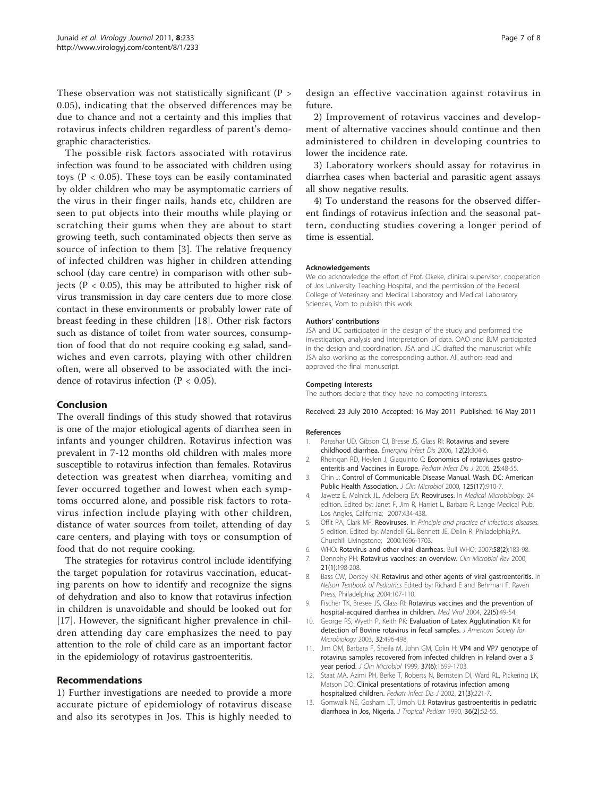<span id="page-6-0"></span>These observation was not statistically significant (P > 0.05), indicating that the observed differences may be due to chance and not a certainty and this implies that rotavirus infects children regardless of parent's demographic characteristics.

The possible risk factors associated with rotavirus infection was found to be associated with children using toys ( $P < 0.05$ ). These toys can be easily contaminated by older children who may be asymptomatic carriers of the virus in their finger nails, hands etc, children are seen to put objects into their mouths while playing or scratching their gums when they are about to start growing teeth, such contaminated objects then serve as source of infection to them [3]. The relative frequency of infected children was higher in children attending school (day care centre) in comparison with other subjects ( $P < 0.05$ ), this may be attributed to higher risk of virus transmission in day care centers due to more close contact in these environments or probably lower rate of breast feeding in these children [[18\]](#page-7-0). Other risk factors such as distance of toilet from water sources, consumption of food that do not require cooking e.g salad, sandwiches and even carrots, playing with other children often, were all observed to be associated with the incidence of rotavirus infection ( $P < 0.05$ ).

# Conclusion

The overall findings of this study showed that rotavirus is one of the major etiological agents of diarrhea seen in infants and younger children. Rotavirus infection was prevalent in 7-12 months old children with males more susceptible to rotavirus infection than females. Rotavirus detection was greatest when diarrhea, vomiting and fever occurred together and lowest when each symptoms occurred alone, and possible risk factors to rotavirus infection include playing with other children, distance of water sources from toilet, attending of day care centers, and playing with toys or consumption of food that do not require cooking.

The strategies for rotavirus control include identifying the target population for rotavirus vaccination, educating parents on how to identify and recognize the signs of dehydration and also to know that rotavirus infection in children is unavoidable and should be looked out for [[17\]](#page-7-0). However, the significant higher prevalence in children attending day care emphasizes the need to pay attention to the role of child care as an important factor in the epidemiology of rotavirus gastroenteritis.

# Recommendations

1) Further investigations are needed to provide a more accurate picture of epidemiology of rotavirus disease and also its serotypes in Jos. This is highly needed to design an effective vaccination against rotavirus in future.

2) Improvement of rotavirus vaccines and development of alternative vaccines should continue and then administered to children in developing countries to lower the incidence rate.

3) Laboratory workers should assay for rotavirus in diarrhea cases when bacterial and parasitic agent assays all show negative results.

4) To understand the reasons for the observed different findings of rotavirus infection and the seasonal pattern, conducting studies covering a longer period of time is essential.

# Acknowledgements

We do acknowledge the effort of Prof. Okeke, clinical supervisor, cooperation of Jos University Teaching Hospital, and the permission of the Federal College of Veterinary and Medical Laboratory and Medical Laboratory Sciences, Vom to publish this work.

## Authors' contributions

JSA and UC participated in the design of the study and performed the investigation, analysis and interpretation of data. OAO and BJM participated in the design and coordination. JSA and UC drafted the manuscript while JSA also working as the corresponding author. All authors read and approved the final manuscript.

### Competing interests

The authors declare that they have no competing interests.

Received: 23 July 2010 Accepted: 16 May 2011 Published: 16 May 2011

# References

- 1. Parashar UD, Gibson CJ, Bresse JS, Glass RI: [Rotavirus and severe](http://www.ncbi.nlm.nih.gov/pubmed/16494759?dopt=Abstract) [childhood diarrhea.](http://www.ncbi.nlm.nih.gov/pubmed/16494759?dopt=Abstract) Emerging Infect Dis 2006, 12(2):304-6.
- 2. Rheingan RD, Heylen J, Giaquinto C: Economics of rotaviuses qastroenteritis and Vaccines in Europe. Pediatr Infect Dis J 2006, 25:48-55.
- 3. Chin J: Control of Communicable Disease Manual. Wash. DC: American Public Health Association. J Clin Microbiol 2000, 125(17):910-7.
- Jawetz E, Malnick JL, Adelberg EA: Reoviruses. In Medical Microbiology. 24 edition. Edited by: Janet F, Jim R, Harriet L, Barbara R. Lange Medical Pub. Los Angles, California; 2007:434-438.
- 5. Offit PA, Clark MF: Reoviruses. In Principle and practice of infectious diseases. 5 edition. Edited by: Mandell GL, Bennett JE, Dolin R. Philadelphia,PA. Churchill Livingstone; 2000:1696-1703.
- 6. WHO: Rotavirus and other viral diarrheas. Bull WHO; 2007:58(2):183-98.
- 7. Dennehy PH: Rotavirus vaccines: an overview. Clin Microbiol Rev 2000, 21(1):198-208.
- 8. Bass CW, Dorsey KN: Rotavirus and other agents of viral gastroenteritis. In Nelson Textbook of Pediatrics Edited by: Richard E and Behrman F. Raven Press, Philadelphia; 2004:107-110.
- 9. Fischer TK, Bresee JS, Glass RI: Rotavirus vaccines and the prevention of hospital-acquired diarrhea in children. Med Virol 2004, 22(5):49-54.
- 10. George RS, Wyeth P, Keith PK: Evaluation of Latex Agglutination Kit for detection of Bovine rotavirus in fecal samples. J American Society for Microbiology 2003, 32:496-498.
- 11. Jim OM, Barbara F, Sheila M, John GM, Colin H: [VP4 and VP7 genotype of](http://www.ncbi.nlm.nih.gov/pubmed/10325310?dopt=Abstract) [rotavirus samples recovered from infected children in Ireland over a 3](http://www.ncbi.nlm.nih.gov/pubmed/10325310?dopt=Abstract) [year period.](http://www.ncbi.nlm.nih.gov/pubmed/10325310?dopt=Abstract) J Clin Microbiol 1999, 37(6):1699-1703.
- 12. Staat MA, Azimi PH, Berke T, Roberts N, Bernstein DI, Ward RL, Pickering LK, Matson DO: [Clinical presentations of rotavirus infection among](http://www.ncbi.nlm.nih.gov/pubmed/12005086?dopt=Abstract) [hospitalized children.](http://www.ncbi.nlm.nih.gov/pubmed/12005086?dopt=Abstract) Pediatr Infect Dis J 2002, 21(3):221-7.
- 13. Gomwalk NE, Gosham LT, Umoh UJ: Rotavirus gastroenteritis in pediatric diarrhoea in Jos, Nigeria. J Tropical Pediatr 1990, 36(2):52-55.